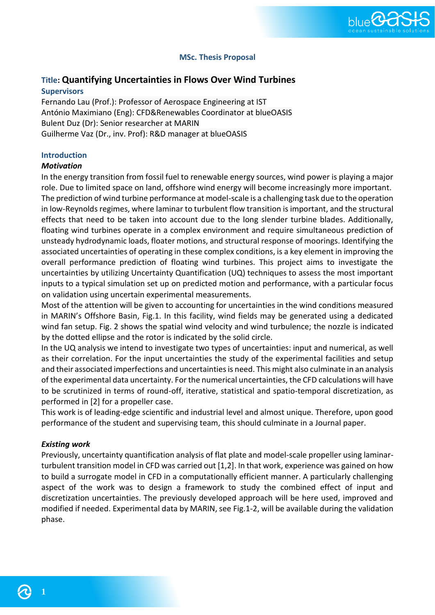

## **MSc. Thesis Proposal**

# **Title: Quantifying Uncertainties in Flows Over Wind Turbines**

#### **Supervisors**

Fernando Lau (Prof.): Professor of Aerospace Engineering at IST António Maximiano (Eng): CFD&Renewables Coordinator at blueOASIS Bulent Duz (Dr): Senior researcher at MARIN Guilherme Vaz (Dr., inv. Prof): R&D manager at blueOASIS

## **Introduction**

#### *Motivation*

In the energy transition from fossil fuel to renewable energy sources, wind power is playing a major role. Due to limited space on land, offshore wind energy will become increasingly more important. The prediction of wind turbine performance at model-scale is a challenging task due to the operation in low-Reynolds regimes, where laminar to turbulent flow transition is important, and the structural effects that need to be taken into account due to the long slender turbine blades. Additionally, floating wind turbines operate in a complex environment and require simultaneous prediction of unsteady hydrodynamic loads, floater motions, and structural response of moorings. Identifying the associated uncertainties of operating in these complex conditions, is a key element in improving the overall performance prediction of floating wind turbines. This project aims to investigate the uncertainties by utilizing Uncertainty Quantification (UQ) techniques to assess the most important inputs to a typical simulation set up on predicted motion and performance, with a particular focus on validation using uncertain experimental measurements.

Most of the attention will be given to accounting for uncertainties in the wind conditions measured in MARIN's Offshore Basin, Fig.1. In this facility, wind fields may be generated using a dedicated wind fan setup. Fig. 2 shows the spatial wind velocity and wind turbulence; the nozzle is indicated by the dotted ellipse and the rotor is indicated by the solid circle.

In the UQ analysis we intend to investigate two types of uncertainties: input and numerical, as well as their correlation. For the input uncertainties the study of the experimental facilities and setup and their associated imperfections and uncertainties is need. This might also culminate in an analysis of the experimental data uncertainty. For the numerical uncertainties, the CFD calculations will have to be scrutinized in terms of round-off, iterative, statistical and spatio-temporal discretization, as performed in [2] for a propeller case.

This work is of leading-edge scientific and industrial level and almost unique. Therefore, upon good performance of the student and supervising team, this should culminate in a Journal paper.

## *Existing work*

Previously, uncertainty quantification analysis of flat plate and model-scale propeller using laminarturbulent transition model in CFD was carried out [1,2]. In that work, experience was gained on how to build a surrogate model in CFD in a computationally efficient manner. A particularly challenging aspect of the work was to design a framework to study the combined effect of input and discretization uncertainties. The previously developed approach will be here used, improved and modified if needed. Experimental data by MARIN, see Fig.1-2, will be available during the validation phase.

**1**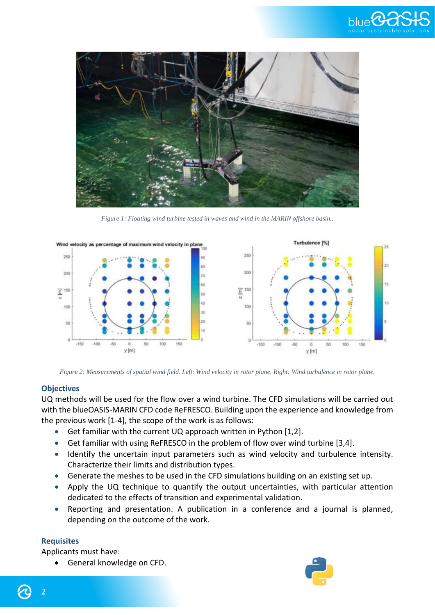



*Figure 1: Floating wind turbine tested in waves and wind in the MARIN offshore basin..*



*Figure 2: Measurements of spatial wind field. Left: Wind velocity in rotor plane. Right: Wind turbulence in rotor plane.*

#### **Objectives**

UQ methods will be used for the flow over a wind turbine. The CFD simulations will be carried out with the blueOASIS-MARIN CFD code ReFRESCO. Building upon the experience and knowledge from the previous work [1-4], the scope of the work is as follows:

- Get familiar with the current UQ approach written in Python [1,2].
- Get familiar with using ReFRESCO in the problem of flow over wind turbine [3,4].
- Identify the uncertain input parameters such as wind velocity and turbulence intensity. Characterize their limits and distribution types.
- Generate the meshes to be used in the CFD simulations building on an existing set up.
- Apply the UQ technique to quantify the output uncertainties, with particular attention dedicated to the effects of transition and experimental validation.
- Reporting and presentation. A publication in a conference and a journal is planned, depending on the outcome of the work.

## **Requisites**

Applicants must have:

• General knowledge on CFD.





**2**